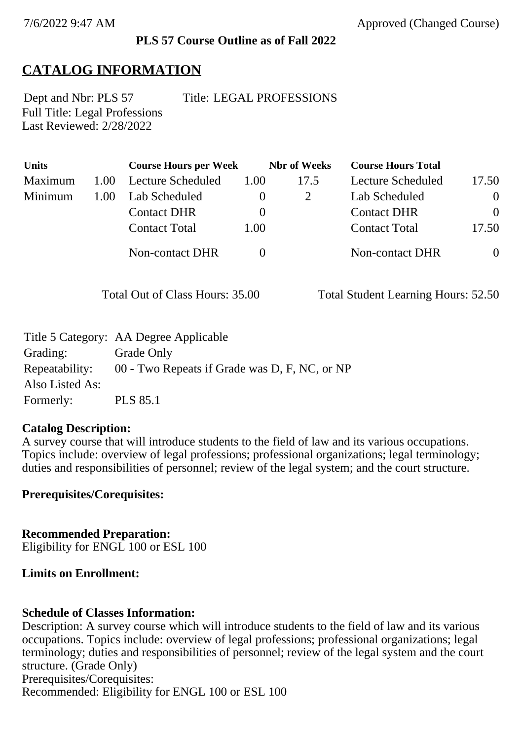### **PLS 57 Course Outline as of Fall 2022**

# **CATALOG INFORMATION**

Full Title: Legal Professions Last Reviewed: 2/28/2022

Dept and Nbr: PLS 57 Title: LEGAL PROFESSIONS

| <b>Units</b> |      | <b>Course Hours per Week</b> |          | <b>Nbr</b> of Weeks | <b>Course Hours Total</b> |                |
|--------------|------|------------------------------|----------|---------------------|---------------------------|----------------|
| Maximum      | 1.00 | Lecture Scheduled            | 1.00     | 17.5                | <b>Lecture Scheduled</b>  | 17.50          |
| Minimum      | 1.00 | Lab Scheduled                | $\bf{0}$ |                     | Lab Scheduled             | $\theta$       |
|              |      | <b>Contact DHR</b>           | $\theta$ |                     | <b>Contact DHR</b>        | $\theta$       |
|              |      | <b>Contact Total</b>         | 1.00     |                     | <b>Contact Total</b>      | 17.50          |
|              |      | Non-contact DHR              |          |                     | <b>Non-contact DHR</b>    | $\overline{0}$ |

Total Out of Class Hours: 35.00 Total Student Learning Hours: 52.50

|                 | Title 5 Category: AA Degree Applicable        |
|-----------------|-----------------------------------------------|
| Grading:        | Grade Only                                    |
| Repeatability:  | 00 - Two Repeats if Grade was D, F, NC, or NP |
| Also Listed As: |                                               |
| Formerly:       | <b>PLS 85.1</b>                               |

### **Catalog Description:**

A survey course that will introduce students to the field of law and its various occupations. Topics include: overview of legal professions; professional organizations; legal terminology; duties and responsibilities of personnel; review of the legal system; and the court structure.

**Prerequisites/Corequisites:**

**Recommended Preparation:** Eligibility for ENGL 100 or ESL 100

### **Limits on Enrollment:**

### **Schedule of Classes Information:**

Description: A survey course which will introduce students to the field of law and its various occupations. Topics include: overview of legal professions; professional organizations; legal terminology; duties and responsibilities of personnel; review of the legal system and the court structure. (Grade Only) Prerequisites/Corequisites: Recommended: Eligibility for ENGL 100 or ESL 100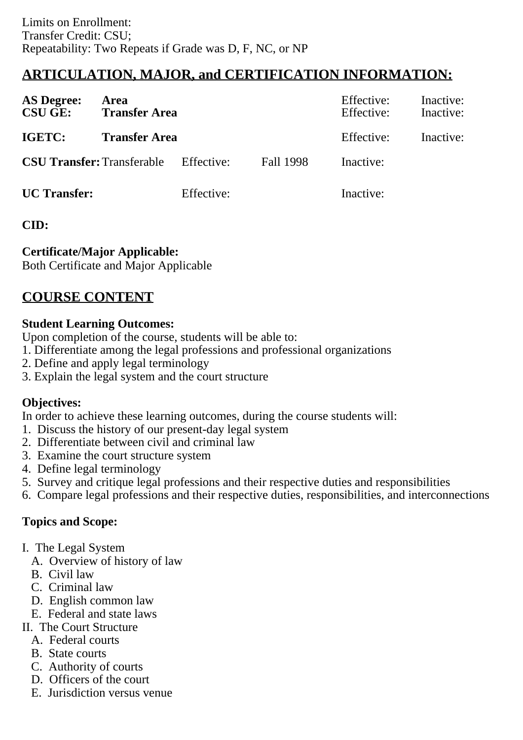# **ARTICULATION, MAJOR, and CERTIFICATION INFORMATION:**

| <b>AS Degree:</b><br><b>CSU GE:</b> | Area<br><b>Transfer Area</b> |            |           | Effective:<br>Effective: | Inactive:<br>Inactive: |
|-------------------------------------|------------------------------|------------|-----------|--------------------------|------------------------|
| IGETC:                              | <b>Transfer Area</b>         |            |           | Effective:               | Inactive:              |
| <b>CSU Transfer:</b> Transferable   |                              | Effective: | Fall 1998 | Inactive:                |                        |
| <b>UC</b> Transfer:                 |                              | Effective: |           | Inactive:                |                        |

## **CID:**

## **Certificate/Major Applicable:**

[Both Certificate and Major Applicable](SR_ClassCheck.aspx?CourseKey=PLS57)

# **COURSE CONTENT**

### **Student Learning Outcomes:**

Upon completion of the course, students will be able to:

- 1. Differentiate among the legal professions and professional organizations
- 2. Define and apply legal terminology
- 3. Explain the legal system and the court structure

## **Objectives:**

In order to achieve these learning outcomes, during the course students will:

- 1. Discuss the history of our present-day legal system
- 2. Differentiate between civil and criminal law
- 3. Examine the court structure system
- 4. Define legal terminology
- 5. Survey and critique legal professions and their respective duties and responsibilities
- 6. Compare legal professions and their respective duties, responsibilities, and interconnections

# **Topics and Scope:**

- I. The Legal System
	- A. Overview of history of law
	- B. Civil law
	- C. Criminal law
	- D. English common law
	- E. Federal and state laws
- II. The Court Structure
	- A. Federal courts
	- B. State courts
	- C. Authority of courts
	- D. Officers of the court
	- E. Jurisdiction versus venue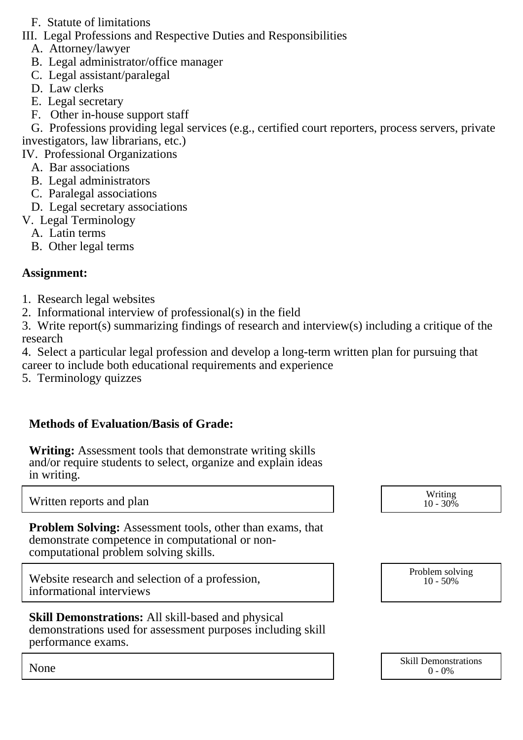- F. Statute of limitations
- III. Legal Professions and Respective Duties and Responsibilities
	- A. Attorney/lawyer
	- B. Legal administrator/office manager
	- C. Legal assistant/paralegal
	- D. Law clerks
	- E. Legal secretary
	- F. Other in-house support staff

 G. Professions providing legal services (e.g., certified court reporters, process servers, private investigators, law librarians, etc.)

IV. Professional Organizations

- A. Bar associations
- B. Legal administrators
- C. Paralegal associations
- D. Legal secretary associations
- V. Legal Terminology
	- A. Latin terms
	- B. Other legal terms

### **Assignment:**

- 1. Research legal websites
- 2. Informational interview of professional(s) in the field
- 3. Write report(s) summarizing findings of research and interview(s) including a critique of the research
- 4. Select a particular legal profession and develop a long-term written plan for pursuing that career to include both educational requirements and experience
- 5. Terminology quizzes

## **Methods of Evaluation/Basis of Grade:**

**Writing:** Assessment tools that demonstrate writing skills and/or require students to select, organize and explain ideas in writing.

Written reports and plan Media and the Media and the Media and Media and Media and Media and Media and Media and Media and Media and Media and Media and Media and Media and Media and Media and Media and Media and Media and

**Problem Solving:** Assessment tools, other than exams, that demonstrate competence in computational or noncomputational problem solving skills.

Website research and selection of a profession, informational interviews

#### **Skill Demonstrations:** All skill-based and physical demonstrations used for assessment purposes including skill performance exams.

| $10 - 30\%$ |  |
|-------------|--|
|             |  |
|             |  |

Problem solving 10 - 50%

|      | <b>Skill Demonstrations</b> |
|------|-----------------------------|
| None | $-0\%$<br>$\theta$          |